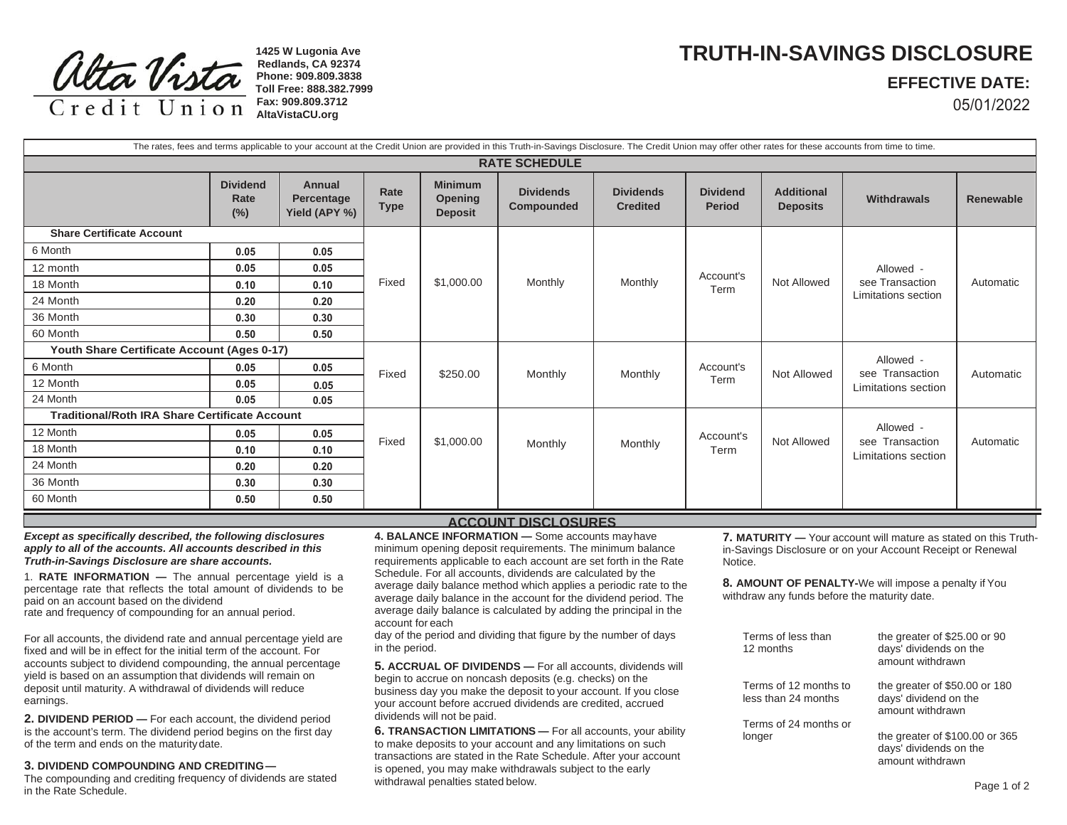

**1425 W Lugonia Ave Redlands, CA 92374 Phone: 909.809.3838 Toll Free: 888.382.7999Fax: 909.809.3712AltaVistaCU.org**

## **TRUTH-IN-SAVINGS DISCLOSURE**

## **EFFECTIVE DATE:**

05/01/2022

| The rates, fees and terms applicable to your account at the Credit Union are provided in this Truth-in-Savings Disclosure. The Credit Union may offer other rates for these accounts from time to time. |                                   |                                              |                     |                                                    |                                |                                     |                                  |                                      |                                                     |           |
|---------------------------------------------------------------------------------------------------------------------------------------------------------------------------------------------------------|-----------------------------------|----------------------------------------------|---------------------|----------------------------------------------------|--------------------------------|-------------------------------------|----------------------------------|--------------------------------------|-----------------------------------------------------|-----------|
| <b>RATE SCHEDULE</b>                                                                                                                                                                                    |                                   |                                              |                     |                                                    |                                |                                     |                                  |                                      |                                                     |           |
|                                                                                                                                                                                                         | <b>Dividend</b><br>Rate<br>$(\%)$ | <b>Annual</b><br>Percentage<br>Yield (APY %) | Rate<br><b>Type</b> | <b>Minimum</b><br><b>Opening</b><br><b>Deposit</b> | <b>Dividends</b><br>Compounded | <b>Dividends</b><br><b>Credited</b> | <b>Dividend</b><br><b>Period</b> | <b>Additional</b><br><b>Deposits</b> | <b>Withdrawals</b>                                  | Renewable |
| <b>Share Certificate Account</b>                                                                                                                                                                        |                                   |                                              |                     |                                                    |                                |                                     |                                  |                                      |                                                     |           |
| 6 Month                                                                                                                                                                                                 | 0.05                              | 0.05                                         | Fixed               | \$1,000.00                                         | Monthly                        | Monthly                             | Account's<br>Term                | <b>Not Allowed</b>                   | Allowed -<br>see Transaction<br>Limitations section | Automatic |
| 12 month                                                                                                                                                                                                | 0.05                              | 0.05                                         |                     |                                                    |                                |                                     |                                  |                                      |                                                     |           |
| 18 Month                                                                                                                                                                                                | 0.10                              | 0.10                                         |                     |                                                    |                                |                                     |                                  |                                      |                                                     |           |
| 24 Month                                                                                                                                                                                                | 0.20                              | 0.20                                         |                     |                                                    |                                |                                     |                                  |                                      |                                                     |           |
| 36 Month                                                                                                                                                                                                | 0.30                              | 0.30                                         |                     |                                                    |                                |                                     |                                  |                                      |                                                     |           |
| 60 Month                                                                                                                                                                                                | 0.50                              | 0.50                                         |                     |                                                    |                                |                                     |                                  |                                      |                                                     |           |
| Youth Share Certificate Account (Ages 0-17)                                                                                                                                                             |                                   |                                              |                     |                                                    |                                |                                     |                                  |                                      | Allowed -                                           |           |
| 6 Month                                                                                                                                                                                                 | 0.05                              | 0.05                                         | Fixed               | \$250.00                                           | Monthly                        | Monthly                             | Account's<br>Term                | Not Allowed                          | see Transaction<br>Limitations section              | Automatic |
| 12 Month                                                                                                                                                                                                | 0.05                              | 0.05                                         |                     |                                                    |                                |                                     |                                  |                                      |                                                     |           |
| 24 Month                                                                                                                                                                                                | 0.05                              | 0.05                                         |                     |                                                    |                                |                                     |                                  |                                      |                                                     |           |
| <b>Traditional/Roth IRA Share Certificate Account</b>                                                                                                                                                   |                                   |                                              |                     |                                                    |                                |                                     |                                  |                                      |                                                     |           |
| 12 Month                                                                                                                                                                                                | 0.05                              | 0.05                                         | Fixed               | \$1,000.00                                         | Monthly                        | Monthly                             | Account's<br>Term                | <b>Not Allowed</b>                   | Allowed -<br>see Transaction<br>Limitations section | Automatic |
| 18 Month                                                                                                                                                                                                | 0.10                              | 0.10                                         |                     |                                                    |                                |                                     |                                  |                                      |                                                     |           |
| 24 Month                                                                                                                                                                                                | 0.20                              | 0.20                                         |                     |                                                    |                                |                                     |                                  |                                      |                                                     |           |
| 36 Month                                                                                                                                                                                                | 0.30                              | 0.30                                         |                     |                                                    |                                |                                     |                                  |                                      |                                                     |           |
| 60 Month                                                                                                                                                                                                | 0.50                              | 0.50                                         |                     |                                                    |                                |                                     |                                  |                                      |                                                     |           |

*Except as specifically described, the following disclosures apply to all of the accounts. All accounts described in this Truth-in-Savings Disclosure are share accounts.*

1. **RATE INFORMATION —** The annual percentage yield is a percentage rate that reflects the total amount of dividends to be paid on an account based on the dividend rate and frequency of compounding for an annual period.

For all accounts, the dividend rate and annual percentage yield are fixed and will be in effect for the initial term of the account. For accounts subject to dividend compounding, the annual percentage yield is based on an assumption that dividends will remain on deposit until maturity. A withdrawal of dividends will reduce earnings.

**2. DIVIDEND PERIOD —** For each account, the dividend period is the account's term. The dividend period begins on the first day of the term and ends on the maturity date.

## **3. DIVIDEND COMPOUNDING AND CREDITING —**

 The compounding and crediting frequency of dividends are stated in the Rate Schedule.

## **ACCOUNT DISCLOSURES**

**4. BALANCE INFORMATION —** Some accounts may have minimum opening deposit requirements. The minimum balance requirements applicable to each account are set forth in the Rate Schedule. For all accounts, dividends are calculated by the average daily balance method which applies a periodic rate to the average daily balance in the account for the dividend period. The average daily balance is calculated by adding the principal in the account for each

day of the period and dividing that figure by the number of days in the period.

**5. ACCRUAL OF DIVIDENDS —** For all accounts, dividends will begin to accrue on noncash deposits (e.g. checks) on the business day you make the deposit to your account. If you close your account before accrued dividends are credited, accrued dividends will not be paid.

**6. TRANSACTION LIMITATIONS —** For all accounts, your ability to make deposits to your account and any limitations on such transactions are stated in the Rate Schedule. After your account is opened, you may make withdrawals subject to the early withdrawal penalties stated below.

**7. MATURITY —** Your account will mature as stated on this Truthin-Savings Disclosure or on your Account Receipt or Renewal Notice.

**8. AMOUNT OF PENALTY-**We will impose a penalty if You withdraw any funds before the maturity date.

| Terms of less than<br>12 months              | the greater of \$25.00 or 90<br>days' dividends on the<br>amount withdrawn   |
|----------------------------------------------|------------------------------------------------------------------------------|
| Terms of 12 months to<br>less than 24 months | the greater of \$50.00 or 180<br>days' dividend on the<br>amount withdrawn   |
| Terms of 24 months or                        |                                                                              |
| longer                                       | the greater of \$100.00 or 365<br>days' dividends on the<br>amount withdrawn |